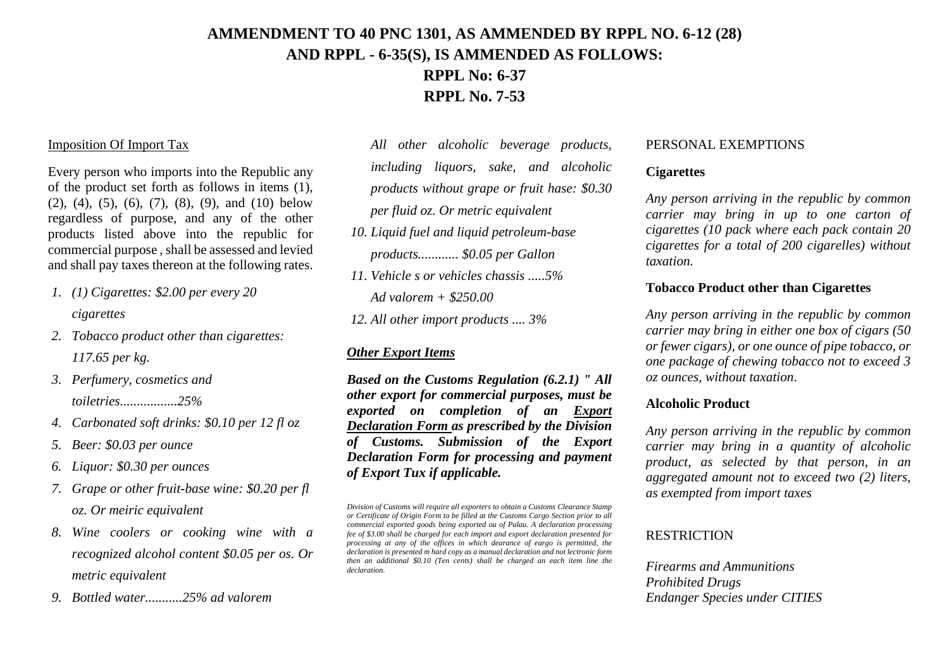# **AMMENDMENT TO 40 PNC 1301, AS AMMENDED BY RPPL NO. 6-12 (28) AND RPPL - 6-35(S), IS AMMENDED AS FOLLOWS: RPPL No: 6-37**

**RPPL No. 7-53**

#### Imposition Of Import Tax

Every person who imports into the Republic any of the product set forth as follows in items (1),  $(2)$ ,  $(4)$ ,  $(5)$ ,  $(6)$ ,  $(7)$ ,  $(8)$ ,  $(9)$ , and  $(10)$  below regardless of purpose, and any of the other products listed above into the republic for commercial purpose , shall be assessed and levied and shall pay taxes thereon at the following rates.

- *1. (1) Cigarettes: \$2.00 per every 20 cigarettes*
- *2. Tobacco product other than cigarettes: 117.65 per kg.*
- *3. Perfumery, cosmetics and toiletries.................25%*
- *4. Carbonated soft drinks: \$0.10 per 12 fl oz*
- *5. Beer: \$0.03 per ounce*
- *6. Liquor: \$0.30 per ounces*
- *7. Grape or other fruit-base wine: \$0.20 per fl oz. Or meiric equivalent*
- *8. Wine coolers or cooking wine with a recognized alcohol content \$0.05 per os. Or metric equivalent*
- *9. Bottled water...........25% ad valorem*

*All other alcoholic beverage products, including liquors, sake, and alcoholic products without grape or fruit hase: \$0.30 per fluid oz. Or metric equivalent*

- *10. Liquid fuel and liquid petroleum-base products............ \$0.05 per Gallon*
- *11. Vehicle s or vehicles chassis .....5% Ad valorem + \$250.00*

*12. All other import products .... 3%*

#### *Other Export Items*

*Based on the Customs Regulation (6.2.1) " All other export for commercial purposes, must be exported on completion of an Export Declaration Form as prescribed by the Division of Customs. Submission of the Export Declaration Form for processing and payment of Export Tux if applicable.*

#### PERSONAL EXEMPTIONS

#### **Cigarettes**

*Any person arriving in the republic by common carrier may bring in up to one carton of cigarettes (10 pack where each pack contain 20 cigarettes for a total of 200 cigarelles) without taxation.*

#### **Tobacco Product other than Cigarettes**

*Any person arriving in the republic by common carrier may bring in either one box of cigars (50 or fewer cigars), or one ounce of pipe tobacco, or one package of chewing tobacco not to exceed 3 oz ounces, without taxation*.

#### **Alcoholic Product**

*Any person arriving in the republic by common carrier may bring in a quantity of alcoholic product, as selected by that person, in an aggregated amount not to exceed two (2) liters, as exempted from import taxes*

#### **RESTRICTION**

*Firearms and Ammunitions Prohibited Drugs Endanger Species under CITIES*

*Division of Customs will require all exporters to obtain a Customs Clearance Stamp or Certificate of Origin Form to be filled at the Customs Cargo Section prior to all commercial exported goods being exported ou of Palau. A declaration processing fee of \$3.00 shall be charged for each import and export declaration presented for processing at any of the offices in which dearance of eargo is permitted, the declaration is presented m hard copy as a manual declaration and not lectronic form then an additional \$0.10 (Ten cents) shall be charged an each item line the declaration.*